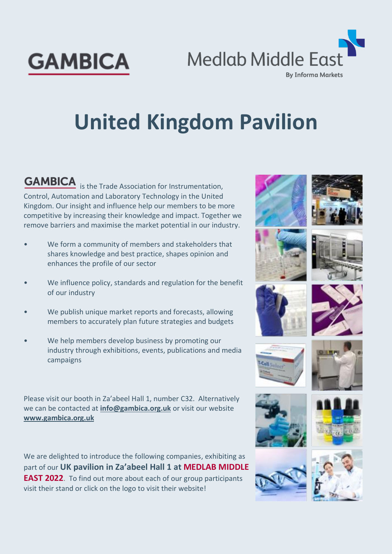

**GAMBICA** 

# **United Kingdom Pavilion**

**GAMBICA** is the Trade Association for Instrumentation, Control, Automation and Laboratory Technology in the United Kingdom. Our insight and influence help our members to be more competitive by increasing their knowledge and impact. Together we remove barriers and maximise the market potential in our industry.

- We form a community of members and stakeholders that shares knowledge and best practice, shapes opinion and enhances the profile of our sector
- We influence policy, standards and regulation for the benefit of our industry
- We publish unique market reports and forecasts, allowing members to accurately plan future strategies and budgets
- We help members develop business by promoting our industry through exhibitions, events, publications and media campaigns

Please visit our booth in Za'abeel Hall 1, number C32. Alternatively we can be contacted at **[info@gambica.org.uk](mailto:info@gambica.org.uk)** or visit our website **[www.gambica.org.uk](http://www.gambica.org.uk/)**

We are delighted to introduce the following companies, exhibiting as part of our **UK pavilion in Za'abeel Hall 1 at [MEDLAB MIDDLE](https://connections.medlabme.com/event/medlab-middle-east-3)  [EAST 2022](https://connections.medlabme.com/event/medlab-middle-east-3)**. To find out more about each of our group participants visit their stand or click on the logo to visit their website!





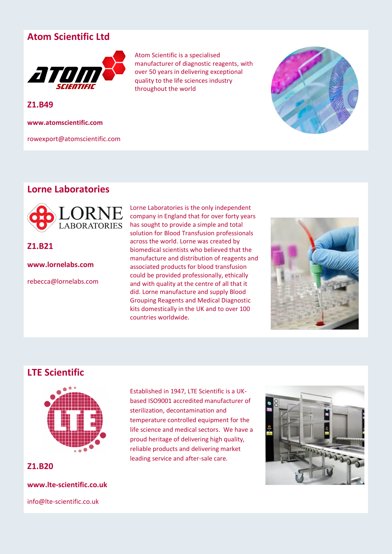# **Atom Scientific Ltd**



**Z1.B49**

**www.atomscientific.com**

rowexport@atomscientific.com

Atom Scientific is a specialised manufacturer of diagnostic reagents, with over 50 years in delivering exceptional quality to the life sciences industry throughout the world



# **Lorne Laboratories**



**Z1.B21**

**www.lornelabs.com**

rebecca@lornelabs.com

Lorne Laboratories is the only independent company in England that for over forty years has sought to provide a simple and total solution for Blood Transfusion professionals across the world. Lorne was created by biomedical scientists who believed that the manufacture and distribution of reagents and associated products for blood transfusion could be provided professionally, ethically and with quality at the centre of all that it did. Lorne manufacture and supply Blood Grouping Reagents and Medical Diagnostic kits domestically in the UK and to over 100 countries worldwide.



# **LTE Scientific**



**Z1.B20**

**www.lte-scientific.co.uk**

info@lte-scientific.co.uk

Established in 1947, LTE Scientific is a UKbased ISO9001 accredited manufacturer of sterilization, decontamination and temperature controlled equipment for the life science and medical sectors. We have a proud heritage of delivering high quality, reliable products and delivering market leading service and after-sale care.

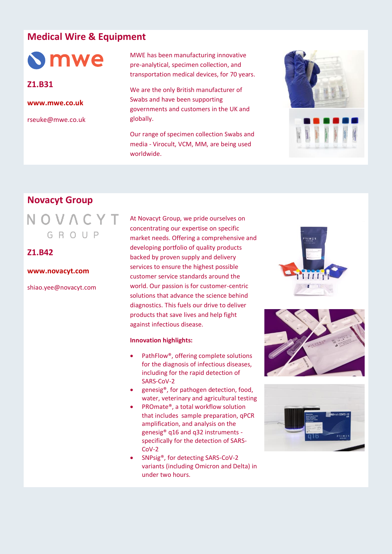# **Medical Wire & Equipment**

**S**mwe

**Z1.B31**

**[www.mwe.co.uk](https://www.mwe.co.uk/)**

rseuke@mwe.co.uk

MWE has been manufacturing innovative pre-analytical, specimen collection, and transportation medical devices, for 70 years.

We are the only British manufacturer of Swabs and have been supporting governments and customers in the UK and globally.

Our range of specimen collection Swabs and media - Virocult, VCM, MM, are being used worldwide.



# **Novacyt Group**

NOVACYT  $G R O U P$ 

# **Z1.B42**

#### **[www.novacyt.com](https://www.novacyt.com/)**

shiao.yee@novacyt.com

At Novacyt Group, we pride ourselves on concentrating our expertise on specific market needs. Offering a comprehensive and developing portfolio of quality products backed by proven supply and delivery services to ensure the highest possible customer service standards around the world. Our passion is for customer-centric solutions that advance the science behind diagnostics. This fuels our drive to deliver products that save lives and help fight against infectious disease.

#### **Innovation highlights:**

- PathFlow®, offering complete solutions for the diagnosis of infectious diseases, including for the rapid detection of SARS-CoV-2
- genesig®, for pathogen detection, food, water, veterinary and agricultural testing
- PROmate®, a total workflow solution that includes sample preparation, qPCR amplification, and analysis on the genesig® q16 and q32 instruments specifically for the detection of SARS-CoV-2
- SNPsig®, for detecting SARS-CoV-2 variants (including Omicron and Delta) in under two hours.





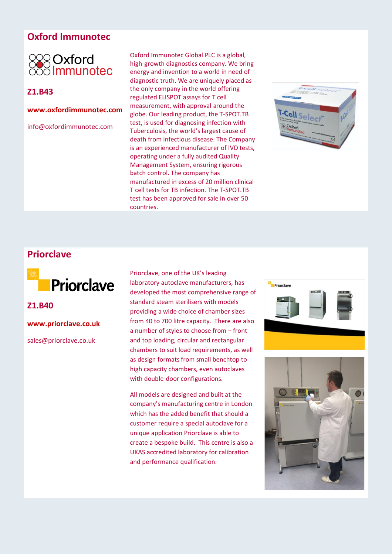# **Oxford Immunotec**



# **Z1.B43**

### **[www.oxfordimmunotec.com](http://www.oxfordimmunotec.com/international/)**

info@oxfordimmunotec.com

Oxford Immunotec Global PLC is a global, high-growth diagnostics company. We bring energy and invention to a world in need of diagnostic truth. We are uniquely placed as the only company in the world offering regulated ELISPOT assays for T cell measurement, with approval around the globe. Our leading product, the T-SPOT.TB test, is used for diagnosing infection with Tuberculosis, the world's largest cause of death from infectious disease. The Company is an experienced manufacturer of IVD tests, operating under a fully audited Quality Management System, ensuring rigorous batch control. The company has manufactured in excess of 20 million clinical T cell tests for TB infection. The T-SPOT.TB test has been approved for sale in over 50 countries.



# **Priorclave**



**Z1.B40**

**[www.priorclave.co.uk](https://www.priorclave.co.uk/)**

sales@priorclave.co.uk

Priorclave, one of the UK's leading laboratory autoclave manufacturers, has developed the most comprehensive range of standard steam sterilisers with models providing a wide choice of chamber sizes from 40 to 700 litre capacity. There are also a number of styles to choose from – front and top loading, circular and rectangular chambers to suit load requirements, as well as design formats from small benchtop to high capacity chambers, even autoclaves with double-door configurations.

All models are designed and built at the company's manufacturing centre in London which has the added benefit that should a customer require a special autoclave for a unique application Priorclave is able to create a bespoke build. This centre is also a UKAS accredited laboratory for calibration and performance qualification.



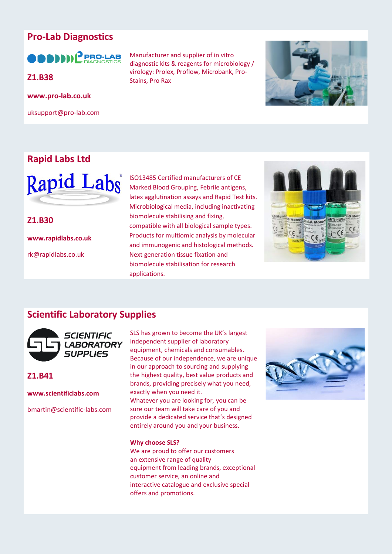# **Pro-Lab Diagnostics**

**ODDDI** PRO-LAB

**[www.pro-lab.co.uk](https://www.pro-lab.co.uk/)**

uksupport@pro-lab.com

# **Rapid Labs Ltd**



**Z1.B30 www.rapidlabs.co.uk**

rk@rapidlabs.co.uk

Manufacturer and supplier of in vitro diagnostic kits & reagents for microbiology / virology: Prolex, Proflow, Microbank, Pro-**Z1.B38** Stains, Pro Rax



ISO13485 Certified manufacturers of CE Marked Blood Grouping, Febrile antigens, latex agglutination assays and Rapid Test kits. Microbiological media, including inactivating biomolecule stabilising and fixing, compatible with all biological sample types. Products for multiomic analysis by molecular and immunogenic and histological methods. Next generation tissue fixation and biomolecule stabilisation for research applications.



# **Scientific Laboratory Supplies**



## **Z1.B41**

**www.scientificlabs.com**

bmartin@scientific-labs.com

SLS has grown to become the UK's largest independent supplier of laboratory equipment, chemicals and consumables. Because of our independence, we are unique in our approach to sourcing and supplying the highest quality, best value products and brands, providing precisely what you need, exactly when you need it.

Whatever you are looking for, you can be sure our team will take care of you and provide a dedicated service that's designed entirely around you and your business.

#### **Why choose SLS?**

We are proud to offer our customers an [extensive range of quality](https://www.scientificlabs.co.uk/segment)  [equipment](https://www.scientificlabs.co.uk/segment) from [leading brands,](https://www.scientificlabs.co.uk/brands) exceptional customer service, an online and interactive [catalogue](https://www.scientificlabs.co.uk/literature) and exclusive special offers and [promotions.](https://www.scientificlabs.co.uk/promotion)

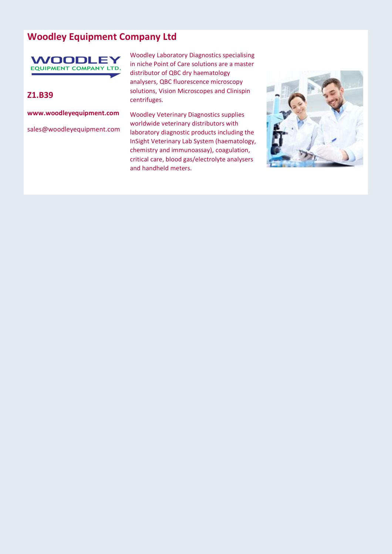# **Woodley Equipment Company Ltd**

# **WOODLEY EQUIPMENT COMPANY LTD.**

## **Z1.B39**

**www.woodleyequipment.com**

sales@woodleyequipment.com

Woodley Laboratory Diagnostics specialising in niche Point of Care solutions are a master distributor of QBC dry haematology analysers, QBC fluorescence microscopy solutions, Vision Microscopes and Clinispin centrifuges.

Woodley Veterinary Diagnostics supplies worldwide veterinary distributors with laboratory diagnostic products including the InSight Veterinary Lab System (haematology, chemistry and immunoassay), coagulation, critical care, blood gas/electrolyte analysers and handheld meters.